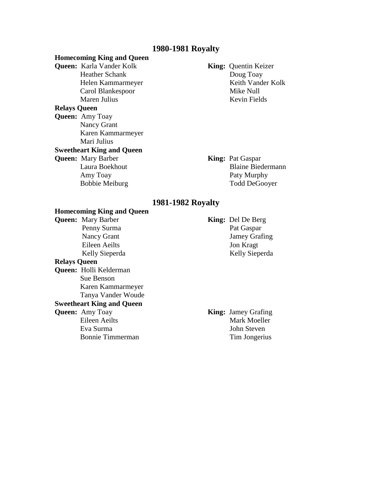### **1980-1981 Royalty**

# **Homecoming King and Queen Queen:** Karla Vander Kolk **King:** Quentin Keizer Heather Schank Doug Toay Helen Kammarmeyer Keith Vander Kolk Carol Blankespoor Mike Null Maren Julius Kevin Fields **Relays Queen Queen:** Amy Toay Nancy Grant Karen Kammarmeyer Mari Julius **Sweetheart King and Queen Queen:** Mary Barber **King:** Pat Gaspar Laura Boekhout Blaine Biedermann Amy Toay Paty Murphy Bobbie Meiburg Todd DeGooyer

# **1981-1982 Royalty**

# **Homecoming King and Queen**

**Relays Queen Queen:** Holli Kelderman Sue Benson

 Karen Kammarmeyer Tanya Vander Woude

# **Sweetheart King and Queen**

**Queen:** Mary Barber **King:** Del De Berg Penny Surma Pat Gaspar Nancy Grant Jamey Grafing Eileen Aeilts Jon Kragt Kelly Sieperda Kelly Sieperda

**Queen:** Amy Toay **King:** Jamey Grafing Eileen Aeilts Mark Moeller Eva Surma John Steven Bonnie Timmerman Tim Jongerius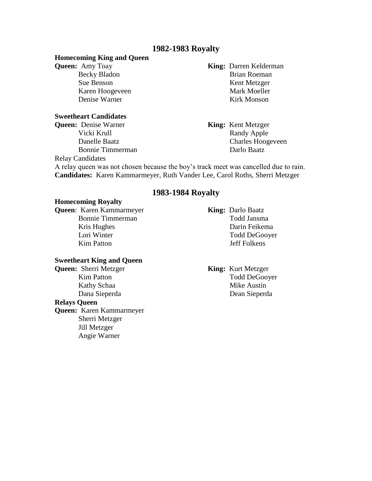# **1982-1983 Royalty**

#### **Homecoming King and Queen**

#### **Sweetheart Candidates**

**Queen:** Denise Warner **King:** Kent Metzger

**Queen:** Amy Toay **King:** Darren Kelderman Becky Bladon Brian Roeman Sue Benson Kent Metzger Karen Hoogeveen Mark Moeller Denise Warner Kirk Monson

> Vicki Krull Randy Apple Danelle Baatz Charles Hoogeveen Bonnie Timmerman Darlo Baatz

Relay Candidates

A relay queen was not chosen because the boy's track meet was cancelled due to rain. **Candidates:** Karen Kammarmeyer, Ruth Vander Lee, Carol Roths, Sherri Metzger

# **1983-1984 Royalty**

### **Homecoming Royalty**

**Queen**: Karen Kammarmeyer **King:** Darlo Baatz Bonnie Timmerman Todd Jansma Kris Hughes Darin Feikema Lori Winter Todd DeGooyer Kim Patton Jeff Folkens

#### **Sweetheart King and Queen**

#### **Relays Queen**

**Queen:** Karen Kammarmeyer Sherri Metzger Jill Metzger Angie Warner

**Queen:** Sherri Metzger **King:** Kurt Metzger Kim Patton Todd DeGooyer Kathy Schaa Mike Austin Dana Sieperda Dean Sieperda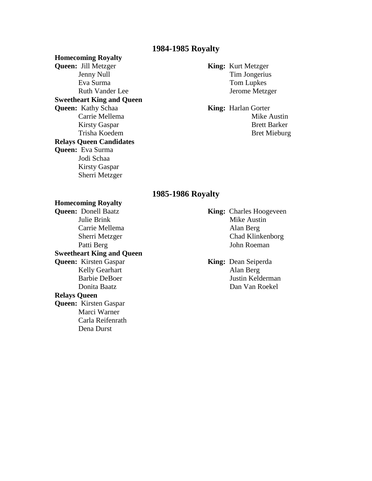# **1984-1985 Royalty**

#### **Homecoming Royalty**

**Queen:** Jill Metzger **King:** Kurt Metzger Eva Surma Tom Lupkes **Sweetheart King and Queen Queen:** Kathy Schaa **King:** Harlan Gorter **Relays Queen Candidates Queen:** Eva Surma Jodi Schaa Kirsty Gaspar Sherri Metzger

# Jenny Null Tim Jongerius Ruth Vander Lee Jerome Metzger

Carrie Mellema Mike Austin Kirsty Gaspar Brett Barker Trisha Koedem Bret Mieburg

# **1985-1986 Royalty**

# **Homecoming Royalty**

Julie Brink Mike Austin Carrie Mellema Alan Berg **Sweetheart King and Queen Queen:** Kirsten Gaspar **King:** Dean Seiperda Kelly Gearhart Alan Berg **Relays Queen Queen:** Kirsten Gaspar Marci Warner Carla Reifenrath Dena Durst

**King:** Charles Hoogeveen Sherri Metzger Chad Klinkenborg Patti Berg John Roeman

Barbie DeBoer Justin Kelderman Donita Baatz Dan Van Roekel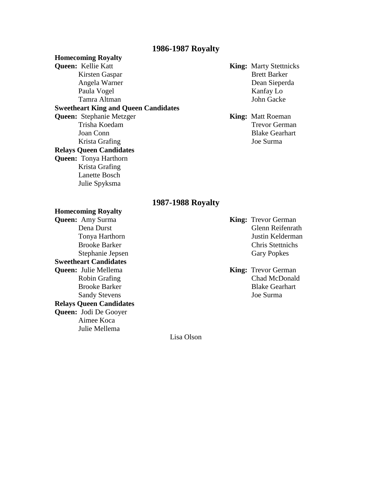# **1986-1987 Royalty**

**Homecoming Royalty Queen:** Kellie Katt **King:** Marty Stettnicks Kirsten Gaspar Brett Barker Angela Warner Dean Sieperda Paula Vogel Kanfay Lo Tamra Altman John Gacke **Sweetheart King and Queen Candidates Queen:** Stephanie Metzger **King:** Matt Roeman Trisha Koedam Trevor German Joan Conn Blake Gearhart Krista Grafing Joe Surma **Relays Queen Candidates Queen:** Tonya Harthorn Krista Grafing Lanette Bosch Julie Spyksma

# **1987-1988 Royalty**

**Homecoming Royalty Queen:** Amy Surma **King:** Trevor German Stephanie Jepsen Gary Popkes **Sweetheart Candidates Queen:** Julie Mellema **King:** Trevor German **Relays Queen Candidates Queen:** Jodi De Gooyer Aimee Koca Julie Mellema

Dena Durst Glenn Reifenrath Tonya Harthorn Justin Kelderman Brooke Barker Chris Stettnichs

Robin Grafing Chad McDonald Brooke Barker Blake Gearhart Sandy Stevens Joe Surma

Lisa Olson